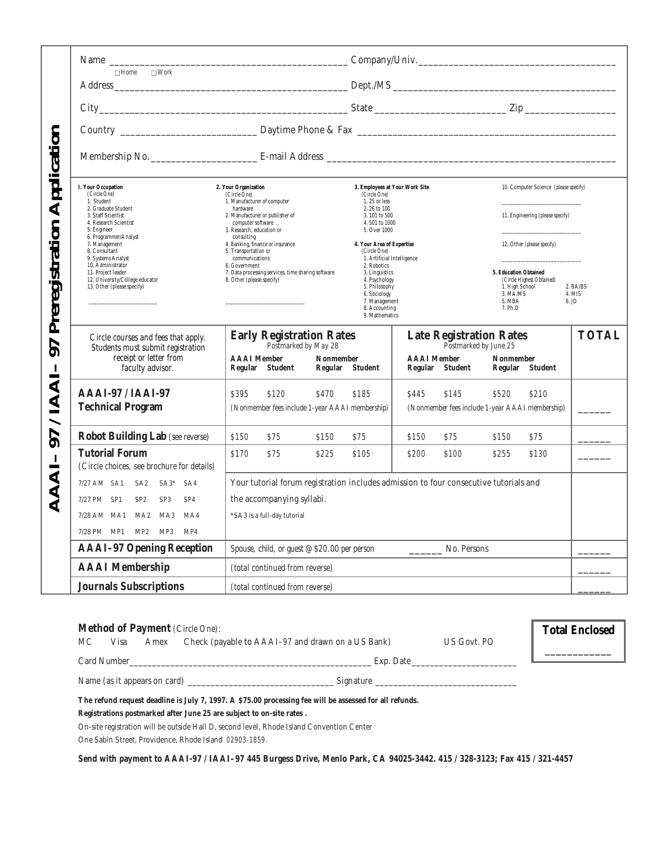| Application<br>Preregistration<br>97<br>IAAI | $\Box$ Home<br>$\square$ Work                                                                                          |                                                                                                  |                                                                                                                                     |                                                         |                                                                                                                |                    |
|----------------------------------------------|------------------------------------------------------------------------------------------------------------------------|--------------------------------------------------------------------------------------------------|-------------------------------------------------------------------------------------------------------------------------------------|---------------------------------------------------------|----------------------------------------------------------------------------------------------------------------|--------------------|
|                                              |                                                                                                                        |                                                                                                  |                                                                                                                                     |                                                         |                                                                                                                |                    |
|                                              |                                                                                                                        |                                                                                                  |                                                                                                                                     |                                                         |                                                                                                                |                    |
|                                              |                                                                                                                        |                                                                                                  |                                                                                                                                     |                                                         |                                                                                                                |                    |
|                                              | I. Your Occupation<br>(Circle One)<br>1. Student                                                                       | 2. Your Organization<br>(Circle One)<br>1. Manufacturer of computer                              | 3. Employees at Your Work Site<br>(Circle One)<br>1.25 or less                                                                      |                                                         | 10. Computer Science (please specify)                                                                          |                    |
|                                              | 2. Graduate Student<br>3. Staff Scientist<br>4. Research Scientist<br>5. Engineer                                      | hardware<br>2. Manufacturer or publisher of<br>computer software<br>3. Research, education or    | 2.26 to 100<br>3.101 to 500<br>4.501 to 1000<br>5. Over 1000                                                                        |                                                         | 11. Engineering (please specify)                                                                               |                    |
|                                              | 6. Programmer/Analyst<br>7. Management<br>8. Consultant<br>9. Systems Analyst                                          | consulting<br>4. Banking, finance or insurance<br>5. Transportation or<br>communications         | 4. Your Area of Expertise<br>(Circle One)<br>1. Artificial Intelligence                                                             |                                                         | 12. Other (please specify)                                                                                     |                    |
|                                              | 10. Administrator<br>11. Project leader<br>12. University/College educator<br>13. Other (please specify)               | 6. Government<br>7. Data processing services, time sharing software<br>8. Other (please specify) | 2. Robotics<br>3. Linguistics<br>4. Psychology<br>5. Philosophy<br>6. Sociology<br>7. Management<br>8. Accounting<br>9. Mathematics |                                                         | 5. Education Obtained<br>(Circle Highest Obtained)<br>1. High School<br>3. MA/MS<br>5. MBA<br>6. JD<br>7. Ph.D | 2. BA/BS<br>4. MIS |
|                                              | Circle courses and fees that apply.<br>Students must submit registration<br>receipt or letter from<br>faculty advisor. | <b>Early Registration Rates</b><br>Postmarked by May 28                                          |                                                                                                                                     | <b>Late Registration Rates</b><br>Postmarked by June 25 |                                                                                                                | <b>TOTAL</b>       |
|                                              |                                                                                                                        | <b>AAAI</b> Member<br>Nonmember<br>Regular Student                                               | Regular Student                                                                                                                     | <b>AAAI</b> Member<br>Regular Student                   | Nonmember<br>Regular Student                                                                                   |                    |
|                                              | AAAI-97 / IAAI-97<br><b>Technical Program</b>                                                                          | \$395<br>\$120<br>\$470<br>(Nonmember fees include 1-year AAAI membership)                       | \$185                                                                                                                               | \$445<br>\$145                                          | \$520<br>\$210<br>(Nonmember fees include 1-year AAAI membership)                                              |                    |
| 97                                           | <b>Robot Building Lab</b> (see reverse)                                                                                | \$150<br>S75<br>\$150                                                                            | S75                                                                                                                                 | \$150<br>S75                                            | \$150<br>\$75                                                                                                  |                    |
|                                              | <b>Tutorial Forum</b><br>(Circle choices, see brochure for details)                                                    | \$170<br>\$75<br>\$225                                                                           | \$105                                                                                                                               | \$200<br>\$100                                          | \$255<br>\$130                                                                                                 |                    |
| $\blacktriangleleft$                         | 7/27 AM SA1 SA2<br>$SA3*$ $SA4$                                                                                        | Your tutorial forum registration includes admission to four consecutive tutorials and            |                                                                                                                                     |                                                         |                                                                                                                |                    |
|                                              | SP <sub>2</sub><br>7/27 PM SP1<br>SP <sub>3</sub><br>SP <sub>4</sub>                                                   | the accompanying syllabi.                                                                        |                                                                                                                                     |                                                         |                                                                                                                |                    |
|                                              | 7/28 AM MA1 MA2<br>MA3<br>MA4                                                                                          | *SA3 is a full-day tutorial                                                                      |                                                                                                                                     |                                                         |                                                                                                                |                    |
|                                              | 7/28 PM MP1<br>MP2 MP3<br>MP4<br><b>AAAI-97 Opening Reception</b>                                                      | Spouse, child, or guest $@$ \$20.00 per person                                                   |                                                                                                                                     | No. Persons                                             |                                                                                                                |                    |
|                                              | <b>AAAI</b> Membership                                                                                                 | (total continued from reverse)                                                                   |                                                                                                                                     |                                                         |                                                                                                                |                    |
|                                              | <b>Journals Subscriptions</b>                                                                                          |                                                                                                  |                                                                                                                                     |                                                         |                                                                                                                |                    |
|                                              |                                                                                                                        | (total continued from reverse)                                                                   |                                                                                                                                     |                                                         |                                                                                                                |                    |

| <b>Method of Payment</b> (Circle One):                                                                  | <b>Total Enclosed</b> |  |  |  |  |  |
|---------------------------------------------------------------------------------------------------------|-----------------------|--|--|--|--|--|
| Check (payable to AAAI-97 and drawn on a US Bank)<br>МC<br>Amex<br>Visa                                 | US Govt. PO           |  |  |  |  |  |
| Card Number<br>Exp. Date                                                                                |                       |  |  |  |  |  |
| Name (as it appears on card)                                                                            |                       |  |  |  |  |  |
| The refund request deadline is July 7, 1997. A \$75.00 processing fee will be assessed for all refunds. |                       |  |  |  |  |  |
| Registrations postmarked after June 25 are subject to on-site rates.                                    |                       |  |  |  |  |  |

On-site registration will be outside Hall D, second level, Rhode Island Convention Center One Sabin Street, Providence, Rhode Island 02903-1859.

**Send with payment to AAAI-97 / IAAI–97 445 Burgess Drive, Menlo Park, CA 94025-3442. 415 / 328-3123; Fax 415 / 321-4457**